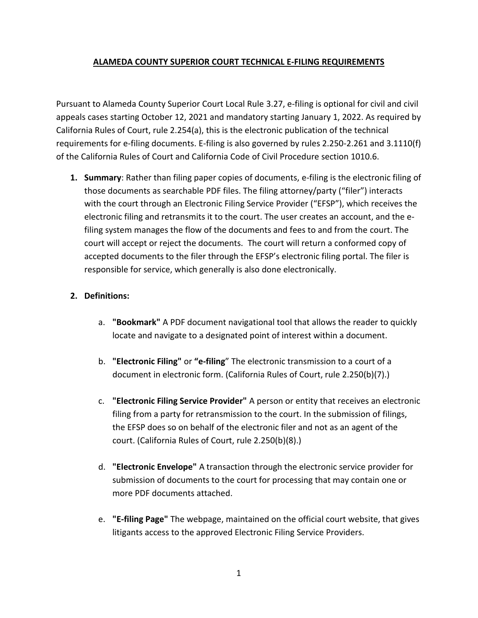## **ALAMEDA COUNTY SUPERIOR COURT TECHNICAL E-FILING REQUIREMENTS**

Pursuant to Alameda County Superior Court Local Rule 3.27, e-filing is optional for civil and civil appeals cases starting October 12, 2021 and mandatory starting January 1, 2022. As required by California Rules of Court, rule 2.254(a), this is the electronic publication of the technical requirements for e-filing documents. E-filing is also governed by rules 2.250-2.261 and 3.1110(f) of the California Rules of Court and California Code of Civil Procedure section 1010.6.

**1. Summary**: Rather than filing paper copies of documents, e-filing is the electronic filing of those documents as searchable PDF files. The filing attorney/party ("filer") interacts with the court through an Electronic Filing Service Provider ("EFSP"), which receives the electronic filing and retransmits it to the court. The user creates an account, and the efiling system manages the flow of the documents and fees to and from the court. The court will accept or reject the documents. The court will return a conformed copy of accepted documents to the filer through the EFSP's electronic filing portal. The filer is responsible for service, which generally is also done electronically.

# **2. Definitions:**

- a. **"Bookmark"** A PDF document navigational tool that allows the reader to quickly locate and navigate to a designated point of interest within a document.
- b. **"Electronic Filing"** or **"e-filing**" The electronic transmission to a court of a document in electronic form. (California Rules of Court, rule 2.250(b)(7).)
- c. **"Electronic Filing Service Provider"** A person or entity that receives an electronic filing from a party for retransmission to the court. In the submission of filings, the EFSP does so on behalf of the electronic filer and not as an agent of the court. (California Rules of Court, rule 2.250(b)(8).)
- d. **"Electronic Envelope"** A transaction through the electronic service provider for submission of documents to the court for processing that may contain one or more PDF documents attached.
- e. **"E-filing Page"** The webpage, maintained on the official court website, that gives litigants access to the approved Electronic Filing Service Providers.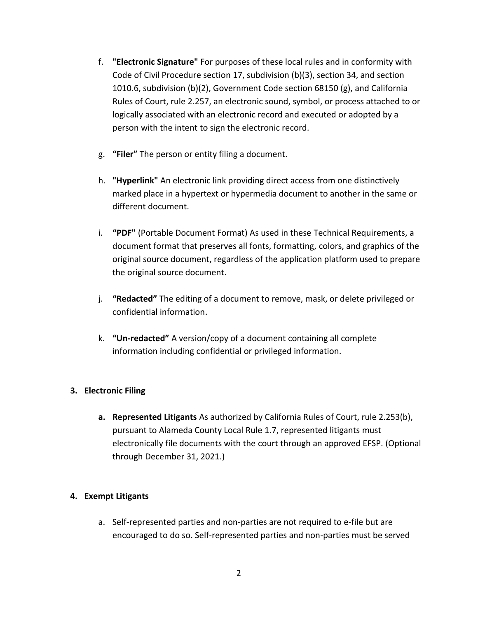- f. **"Electronic Signature"** For purposes of these local rules and in conformity with Code of Civil Procedure section 17, subdivision (b)(3), section 34, and section 1010.6, subdivision (b)(2), Government Code section 68150 (g), and California Rules of Court, rule 2.257, an electronic sound, symbol, or process attached to or logically associated with an electronic record and executed or adopted by a person with the intent to sign the electronic record.
- g. **"Filer"** The person or entity filing a document.
- h. **"Hyperlink"** An electronic link providing direct access from one distinctively marked place in a hypertext or hypermedia document to another in the same or different document.
- i. **"PDF"** (Portable Document Format) As used in these Technical Requirements, a document format that preserves all fonts, formatting, colors, and graphics of the original source document, regardless of the application platform used to prepare the original source document.
- j. **"Redacted"** The editing of a document to remove, mask, or delete privileged or confidential information.
- k. **"Un-redacted"** A version/copy of a document containing all complete information including confidential or privileged information.

# **3. Electronic Filing**

**a. Represented Litigants** As authorized by California Rules of Court, rule 2.253(b), pursuant to Alameda County Local Rule 1.7, represented litigants must electronically file documents with the court through an approved EFSP. (Optional through December 31, 2021.)

# **4. Exempt Litigants**

a. Self-represented parties and non-parties are not required to e-file but are encouraged to do so. Self-represented parties and non-parties must be served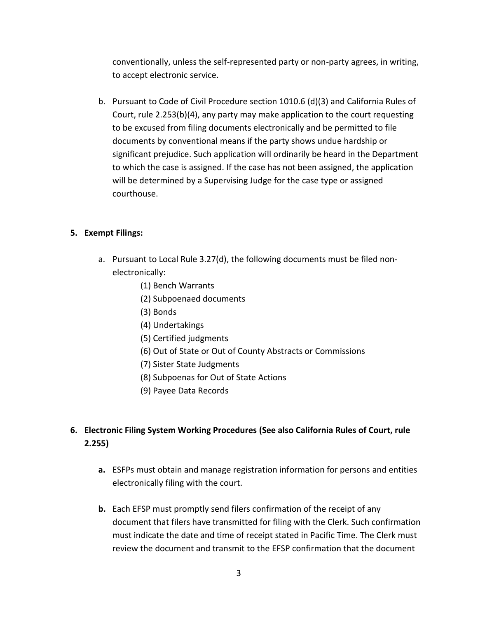conventionally, unless the self-represented party or non-party agrees, in writing, to accept electronic service.

b. Pursuant to Code of Civil Procedure section 1010.6 (d)(3) and California Rules of Court, rule 2.253(b)(4), any party may make application to the court requesting to be excused from filing documents electronically and be permitted to file documents by conventional means if the party shows undue hardship or significant prejudice. Such application will ordinarily be heard in the Department to which the case is assigned. If the case has not been assigned, the application will be determined by a Supervising Judge for the case type or assigned courthouse.

## **5. Exempt Filings:**

- a. Pursuant to Local Rule 3.27(d), the following documents must be filed nonelectronically:
	- (1) Bench Warrants
	- (2) Subpoenaed documents
	- (3) Bonds
	- (4) Undertakings
	- (5) Certified judgments
	- (6) Out of State or Out of County Abstracts or Commissions
	- (7) Sister State Judgments
	- (8) Subpoenas for Out of State Actions
	- (9) Payee Data Records

# **6. Electronic Filing System Working Procedures (See also California Rules of Court, rule 2.255)**

- **a.** ESFPs must obtain and manage registration information for persons and entities electronically filing with the court.
- **b.** Each EFSP must promptly send filers confirmation of the receipt of any document that filers have transmitted for filing with the Clerk. Such confirmation must indicate the date and time of receipt stated in Pacific Time. The Clerk must review the document and transmit to the EFSP confirmation that the document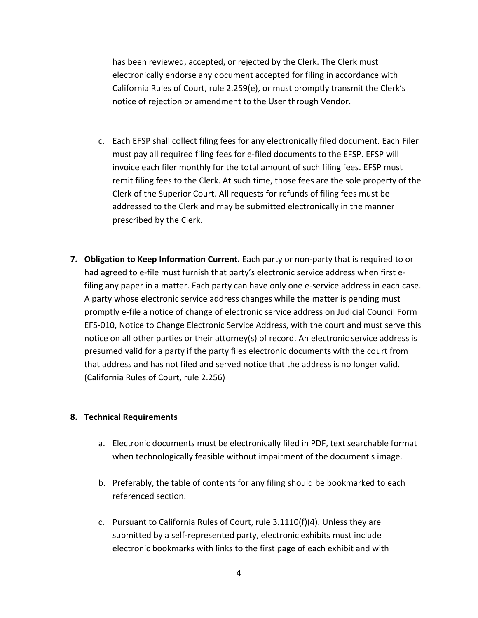has been reviewed, accepted, or rejected by the Clerk. The Clerk must electronically endorse any document accepted for filing in accordance with California Rules of Court, rule 2.259(e), or must promptly transmit the Clerk's notice of rejection or amendment to the User through Vendor.

- c. Each EFSP shall collect filing fees for any electronically filed document. Each Filer must pay all required filing fees for e-filed documents to the EFSP. EFSP will invoice each filer monthly for the total amount of such filing fees. EFSP must remit filing fees to the Clerk. At such time, those fees are the sole property of the Clerk of the Superior Court. All requests for refunds of filing fees must be addressed to the Clerk and may be submitted electronically in the manner prescribed by the Clerk.
- **7. Obligation to Keep Information Current.** Each party or non-party that is required to or had agreed to e-file must furnish that party's electronic service address when first efiling any paper in a matter. Each party can have only one e-service address in each case. A party whose electronic service address changes while the matter is pending must promptly e-file a notice of change of electronic service address on Judicial Council Form EFS-010, Notice to Change Electronic Service Address, with the court and must serve this notice on all other parties or their attorney(s) of record. An electronic service address is presumed valid for a party if the party files electronic documents with the court from that address and has not filed and served notice that the address is no longer valid. (California Rules of Court, rule 2.256)

### **8. Technical Requirements**

- a. Electronic documents must be electronically filed in PDF, text searchable format when technologically feasible without impairment of the document's image.
- b. Preferably, the table of contents for any filing should be bookmarked to each referenced section.
- c. Pursuant to California Rules of Court, rule 3.1110(f)(4). Unless they are submitted by a self-represented party, electronic exhibits must include electronic bookmarks with links to the first page of each exhibit and with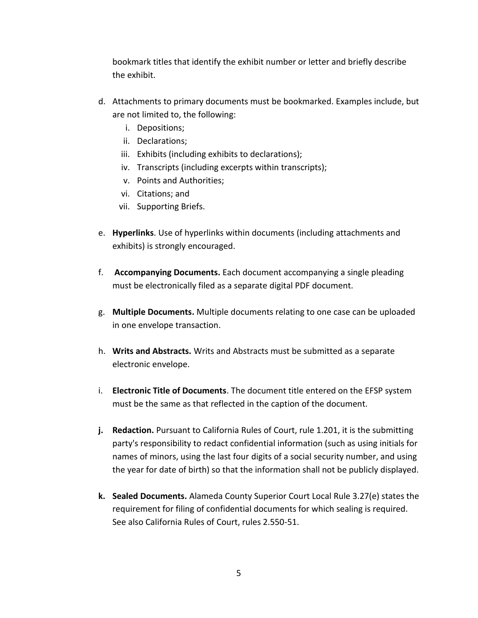bookmark titles that identify the exhibit number or letter and briefly describe the exhibit.

- d. Attachments to primary documents must be bookmarked. Examples include, but are not limited to, the following:
	- i. Depositions;
	- ii. Declarations;
	- iii. Exhibits (including exhibits to declarations);
	- iv. Transcripts (including excerpts within transcripts);
	- v. Points and Authorities;
	- vi. Citations; and
	- vii. Supporting Briefs.
- e. **Hyperlinks**. Use of hyperlinks within documents (including attachments and exhibits) is strongly encouraged.
- f. **Accompanying Documents.** Each document accompanying a single pleading must be electronically filed as a separate digital PDF document.
- g. **Multiple Documents.** Multiple documents relating to one case can be uploaded in one envelope transaction.
- h. **Writs and Abstracts.** Writs and Abstracts must be submitted as a separate electronic envelope.
- i. **Electronic Title of Documents**. The document title entered on the EFSP system must be the same as that reflected in the caption of the document.
- **j. Redaction.** Pursuant to California Rules of Court, rule 1.201, it is the submitting party's responsibility to redact confidential information (such as using initials for names of minors, using the last four digits of a social security number, and using the year for date of birth) so that the information shall not be publicly displayed.
- **k. Sealed Documents.** Alameda County Superior Court Local Rule 3.27(e) states the requirement for filing of confidential documents for which sealing is required. See also California Rules of Court, rules 2.550-51.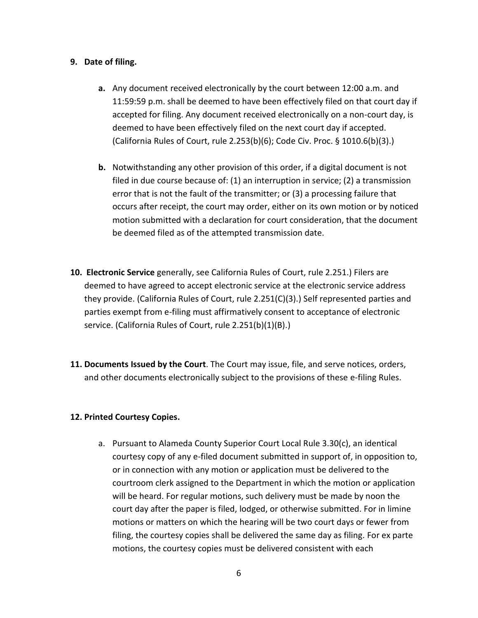## **9. Date of filing.**

- **a.** Any document received electronically by the court between 12:00 a.m. and 11:59:59 p.m. shall be deemed to have been effectively filed on that court day if accepted for filing. Any document received electronically on a non-court day, is deemed to have been effectively filed on the next court day if accepted. (California Rules of Court, rule 2.253(b)(6); Code Civ. Proc. § 1010.6(b)(3).)
- **b.** Notwithstanding any other provision of this order, if a digital document is not filed in due course because of: (1) an interruption in service; (2) a transmission error that is not the fault of the transmitter; or (3) a processing failure that occurs after receipt, the court may order, either on its own motion or by noticed motion submitted with a declaration for court consideration, that the document be deemed filed as of the attempted transmission date.
- **10. Electronic Service** generally, see California Rules of Court, rule 2.251.) Filers are deemed to have agreed to accept electronic service at the electronic service address they provide. (California Rules of Court, rule 2.251(C)(3).) Self represented parties and parties exempt from e-filing must affirmatively consent to acceptance of electronic service. (California Rules of Court, rule 2.251(b)(1)(B).)
- **11. Documents Issued by the Court**. The Court may issue, file, and serve notices, orders, and other documents electronically subject to the provisions of these e-filing Rules.

### **12. Printed Courtesy Copies.**

a. Pursuant to Alameda County Superior Court Local Rule 3.30(c), an identical courtesy copy of any e-filed document submitted in support of, in opposition to, or in connection with any motion or application must be delivered to the courtroom clerk assigned to the Department in which the motion or application will be heard. For regular motions, such delivery must be made by noon the court day after the paper is filed, lodged, or otherwise submitted. For in limine motions or matters on which the hearing will be two court days or fewer from filing, the courtesy copies shall be delivered the same day as filing. For ex parte motions, the courtesy copies must be delivered consistent with each